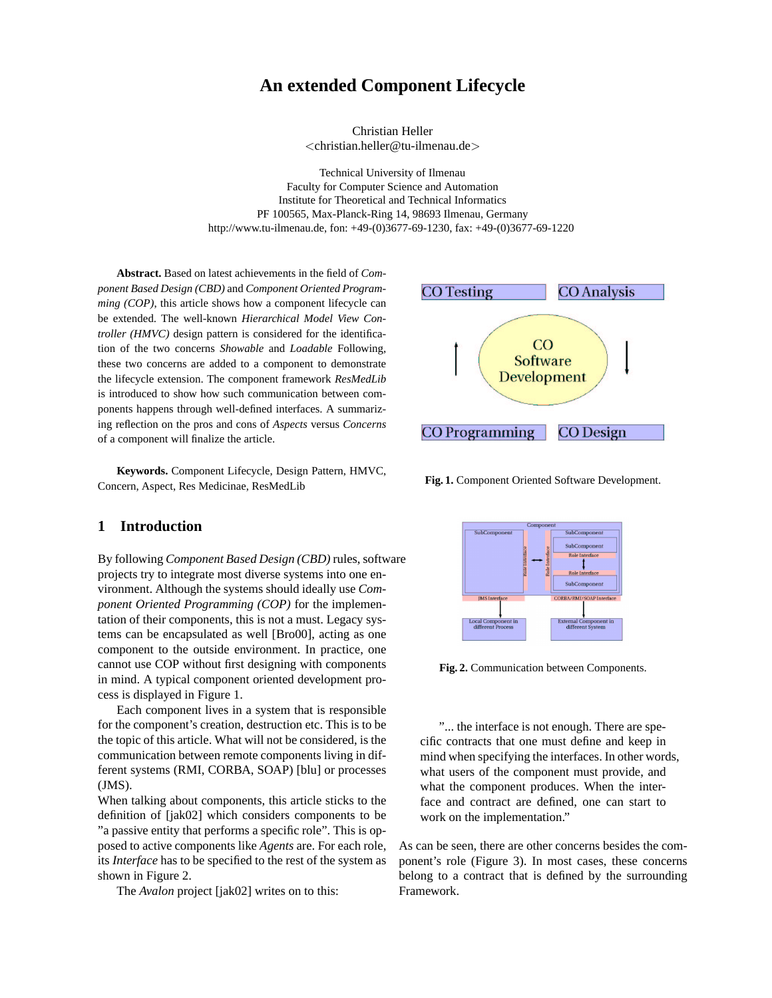# **An extended Component Lifecycle**

Christian Heller <christian.heller@tu-ilmenau.de>

Technical University of Ilmenau Faculty for Computer Science and Automation Institute for Theoretical and Technical Informatics PF 100565, Max-Planck-Ring 14, 98693 Ilmenau, Germany http://www.tu-ilmenau.de, fon: +49-(0)3677-69-1230, fax: +49-(0)3677-69-1220

**Abstract.** Based on latest achievements in the field of *Component Based Design (CBD)* and *Component Oriented Programming (COP)*, this article shows how a component lifecycle can be extended. The well-known *Hierarchical Model View Controller (HMVC)* design pattern is considered for the identification of the two concerns *Showable* and *Loadable* Following, these two concerns are added to a component to demonstrate the lifecycle extension. The component framework *ResMedLib* is introduced to show how such communication between components happens through well-defined interfaces. A summarizing reflection on the pros and cons of *Aspects* versus *Concerns* of a component will finalize the article.

**Keywords.** Component Lifecycle, Design Pattern, HMVC, Concern, Aspect, Res Medicinae, ResMedLib

## **1 Introduction**

By following *Component Based Design (CBD)* rules, software projects try to integrate most diverse systems into one environment. Although the systems should ideally use *Component Oriented Programming (COP)* for the implementation of their components, this is not a must. Legacy systems can be encapsulated as well [Bro00], acting as one component to the outside environment. In practice, one cannot use COP without first designing with components in mind. A typical component oriented development process is displayed in Figure 1.

Each component lives in a system that is responsible for the component's creation, destruction etc. This is to be the topic of this article. What will not be considered, is the communication between remote components living in different systems (RMI, CORBA, SOAP) [blu] or processes (JMS).

When talking about components, this article sticks to the definition of [jak02] which considers components to be "a passive entity that performs a specific role". This is opposed to active components like *Agents* are. For each role, its *Interface* has to be specified to the rest of the system as shown in Figure 2.

The *Avalon* project [jak02] writes on to this:



**Fig. 1.** Component Oriented Software Development.



**Fig. 2.** Communication between Components.

"... the interface is not enough. There are specific contracts that one must define and keep in mind when specifying the interfaces. In other words, what users of the component must provide, and what the component produces. When the interface and contract are defined, one can start to work on the implementation."

As can be seen, there are other concerns besides the component's role (Figure 3). In most cases, these concerns belong to a contract that is defined by the surrounding Framework.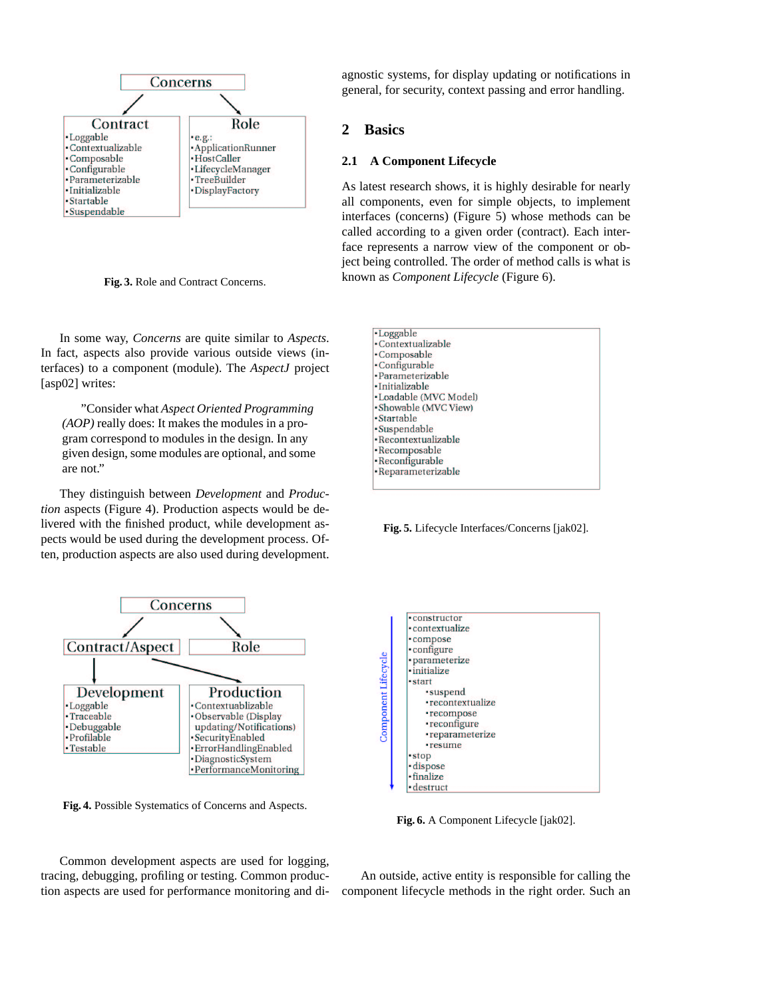

**Fig. 3.** Role and Contract Concerns.

In some way, *Concerns* are quite similar to *Aspects*. In fact, aspects also provide various outside views (interfaces) to a component (module). The *AspectJ* project [asp02] writes:

"Consider what *Aspect Oriented Programming (AOP)* really does: It makes the modules in a program correspond to modules in the design. In any given design, some modules are optional, and some are not."

They distinguish between *Development* and *Production* aspects (Figure 4). Production aspects would be delivered with the finished product, while development aspects would be used during the development process. Often, production aspects are also used during development.



**Fig. 4.** Possible Systematics of Concerns and Aspects.

agnostic systems, for display updating or notifications in general, for security, context passing and error handling.

#### **2 Basics**

#### **2.1 A Component Lifecycle**

As latest research shows, it is highly desirable for nearly all components, even for simple objects, to implement interfaces (concerns) (Figure 5) whose methods can be called according to a given order (contract). Each interface represents a narrow view of the component or object being controlled. The order of method calls is what is known as *Component Lifecycle* (Figure 6).

| •Loggable             |  |
|-----------------------|--|
| • Contextualizable    |  |
| •Composable           |  |
| · Configurable        |  |
| · Parameterizable     |  |
| ·Initializable        |  |
| •Loadable (MVC Model) |  |
| ·Showable (MVC View)  |  |
| ·Startable            |  |
| •Suspendable          |  |
| · Recontextualizable  |  |
| •Recomposable         |  |
| • Reconfigurable      |  |
| ·Reparameterizable    |  |
|                       |  |

**Fig. 5.** Lifecycle Interfaces/Concerns [jak02].



**Fig. 6.** A Component Lifecycle [jak02].

Common development aspects are used for logging, tracing, debugging, profiling or testing. Common production aspects are used for performance monitoring and di-

An outside, active entity is responsible for calling the component lifecycle methods in the right order. Such an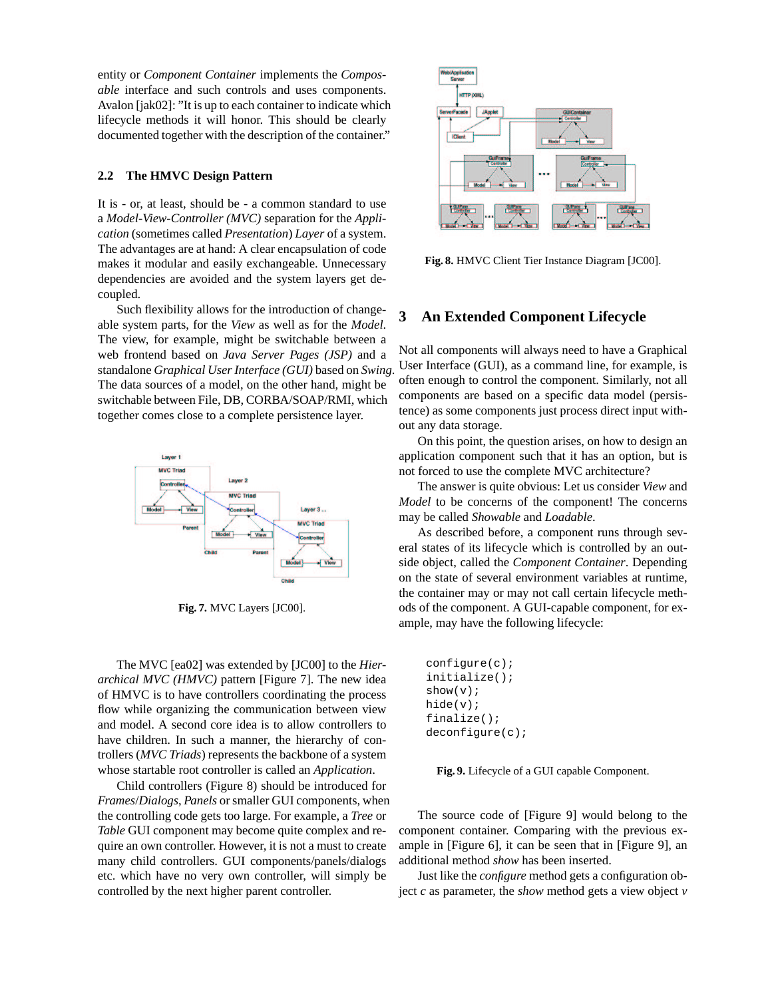entity or *Component Container* implements the *Composable* interface and such controls and uses components. Avalon [jak02]: "It is up to each container to indicate which lifecycle methods it will honor. This should be clearly documented together with the description of the container."

#### **2.2 The HMVC Design Pattern**

It is - or, at least, should be - a common standard to use a *Model-View-Controller (MVC)* separation for the *Application* (sometimes called *Presentation*) *Layer* of a system. The advantages are at hand: A clear encapsulation of code makes it modular and easily exchangeable. Unnecessary dependencies are avoided and the system layers get decoupled.

Such flexibility allows for the introduction of changeable system parts, for the *View* as well as for the *Model*. The view, for example, might be switchable between a web frontend based on *Java Server Pages (JSP)* and a standalone *Graphical User Interface (GUI)* based on *Swing*. The data sources of a model, on the other hand, might be switchable between File, DB, CORBA/SOAP/RMI, which together comes close to a complete persistence layer.



**Fig. 7.** MVC Layers [JC00].

The MVC [ea02] was extended by [JC00] to the *Hierarchical MVC (HMVC)* pattern [Figure 7]. The new idea of HMVC is to have controllers coordinating the process flow while organizing the communication between view and model. A second core idea is to allow controllers to have children. In such a manner, the hierarchy of controllers (*MVC Triads*) represents the backbone of a system whose startable root controller is called an *Application*.

Child controllers (Figure 8) should be introduced for *Frames*/*Dialogs*, *Panels* or smaller GUI components, when the controlling code gets too large. For example, a *Tree* or *Table* GUI component may become quite complex and require an own controller. However, it is not a must to create many child controllers. GUI components/panels/dialogs etc. which have no very own controller, will simply be controlled by the next higher parent controller.



**Fig. 8.** HMVC Client Tier Instance Diagram [JC00].

### **3 An Extended Component Lifecycle**

Not all components will always need to have a Graphical User Interface (GUI), as a command line, for example, is often enough to control the component. Similarly, not all components are based on a specific data model (persistence) as some components just process direct input without any data storage.

On this point, the question arises, on how to design an application component such that it has an option, but is not forced to use the complete MVC architecture?

The answer is quite obvious: Let us consider *View* and *Model* to be concerns of the component! The concerns may be called *Showable* and *Loadable*.

As described before, a component runs through several states of its lifecycle which is controlled by an outside object, called the *Component Container*. Depending on the state of several environment variables at runtime, the container may or may not call certain lifecycle methods of the component. A GUI-capable component, for example, may have the following lifecycle:

```
configure(c);
initialize();
show(v);
hide(v);
finalize();
deconfigure(c);
```
**Fig. 9.** Lifecycle of a GUI capable Component.

The source code of [Figure 9] would belong to the component container. Comparing with the previous example in [Figure 6], it can be seen that in [Figure 9], an additional method *show* has been inserted.

Just like the *configure* method gets a configuration object *c* as parameter, the *show* method gets a view object *v*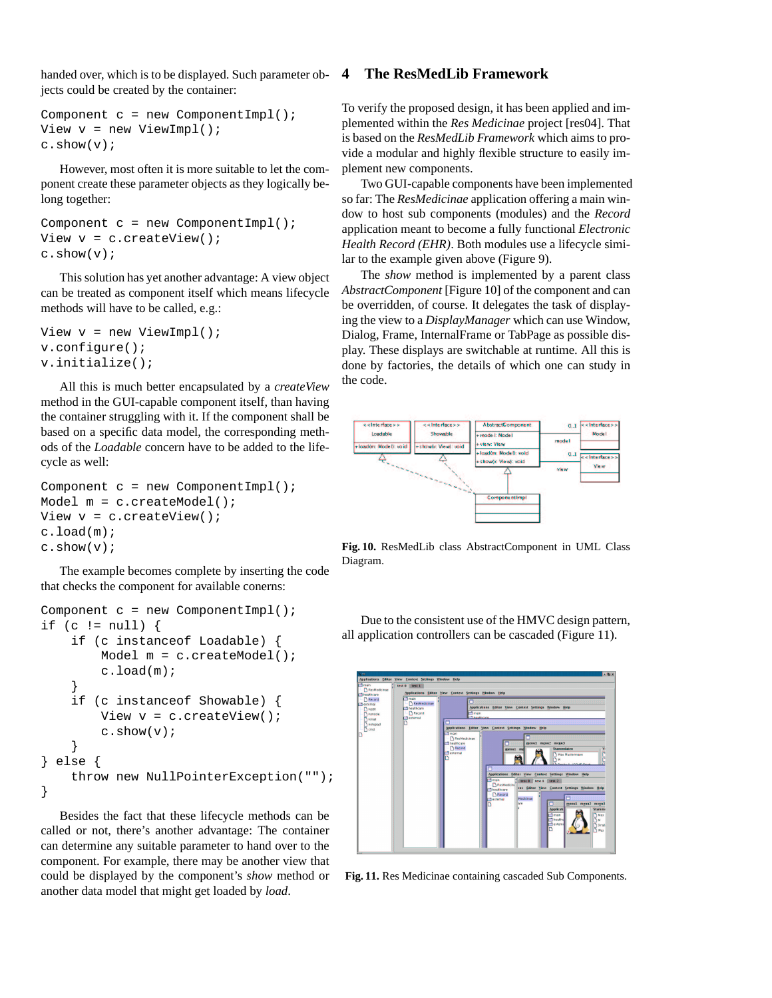handed over, which is to be displayed. Such parameter objects could be created by the container:

```
Component c = new ComponentImpl();
View v = new ViewImpl();
c.show(v);
```
However, most often it is more suitable to let the component create these parameter objects as they logically belong together:

```
Component c = new ComponentImpl();
View v = c.createView();
c.show(v);
```
This solution has yet another advantage: A view object can be treated as component itself which means lifecycle methods will have to be called, e.g.:

```
View v = new ViewImpl();
v.configure();
v.initialize();
```
All this is much better encapsulated by a *createView* method in the GUI-capable component itself, than having the container struggling with it. If the component shall be based on a specific data model, the corresponding methods of the *Loadable* concern have to be added to the lifecycle as well:

```
Component c = new ComponentImpl();
Model m = c.createModel();
View v = c \cdot c \cdot c \cdot c \cdot c \cdot vc.load(m);c.show(v);
```
The example becomes complete by inserting the code that checks the component for available conerns:

```
Component c = new ComponentImpl();
if (c := null) {
    if (c instanceof Loadable) {
        Model m = c.createModel();
        c.load(m);}
    if (c instanceof Showable) {
        View v = c.createView();
        c.show(v);}
} else {
    throw new NullPointerException("");
}
```
Besides the fact that these lifecycle methods can be called or not, there's another advantage: The container can determine any suitable parameter to hand over to the component. For example, there may be another view that could be displayed by the component's *show* method or another data model that might get loaded by *load*.

### **4 The ResMedLib Framework**

To verify the proposed design, it has been applied and implemented within the *Res Medicinae* project [res04]. That is based on the *ResMedLib Framework* which aims to provide a modular and highly flexible structure to easily implement new components.

Two GUI-capable components have been implemented so far: The *ResMedicinae* application offering a main window to host sub components (modules) and the *Record* application meant to become a fully functional *Electronic Health Record (EHR)*. Both modules use a lifecycle similar to the example given above (Figure 9).

The *show* method is implemented by a parent class *AbstractComponent* [Figure 10] of the component and can be overridden, of course. It delegates the task of displaying the view to a *DisplayManager* which can use Window, Dialog, Frame, InternalFrame or TabPage as possible display. These displays are switchable at runtime. All this is done by factories, the details of which one can study in the code.



**Fig. 10.** ResMedLib class AbstractComponent in UML Class Diagram.

Due to the consistent use of the HMVC design pattern, all application controllers can be cascaded (Figure 11).



**Fig. 11.** Res Medicinae containing cascaded Sub Components.